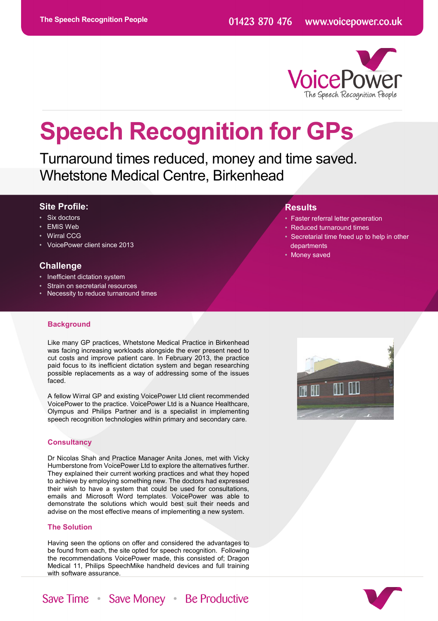**Results**

 departments • Money saved



• Faster referral letter generation • Reduced turnaround times

Secretarial time freed up to help in other

# **Speech Recognition for GPs**

Turnaround times reduced, money and time saved. Whetstone Medical Centre, Birkenhead

# **Site Profile:**

- Six doctors
- **EMIS Web**
- **Wirral CCG**
- VoicePower client since 2013

# **Challenge**

- Inefficient dictation system
- Strain on secretarial resources
- Necessity to reduce turnaround times

#### **Background**

Like many GP practices, Whetstone Medical Practice in Birkenhead was facing increasing workloads alongside the ever present need to cut costs and improve patient care. In February 2013, the practice paid focus to its inefficient dictation system and began researching possible replacements as a way of addressing some of the issues faced.

A fellow Wirral GP and existing VoicePower Ltd client recommended VoicePower to the practice. VoicePower Ltd is a Nuance Healthcare, Olympus and Philips Partner and is a specialist in implementing speech recognition technologies within primary and secondary care.

# **Consultancy**

Dr Nicolas Shah and Practice Manager Anita Jones, met with Vicky Humberstone from VoicePower Ltd to explore the alternatives further. They explained their current working practices and what they hoped to achieve by employing something new. The doctors had expressed their wish to have a system that could be used for consultations, emails and Microsoft Word templates. VoicePower was able to demonstrate the solutions which would best suit their needs and advise on the most effective means of implementing a new system.

## **The Solution**

Having seen the options on offer and considered the advantages to be found from each, the site opted for speech recognition. Following the recommendations VoicePower made, this consisted of; Dragon Medical 11, Philips SpeechMike handheld devices and full training with software assurance.





Save Time Save Money Be Productive